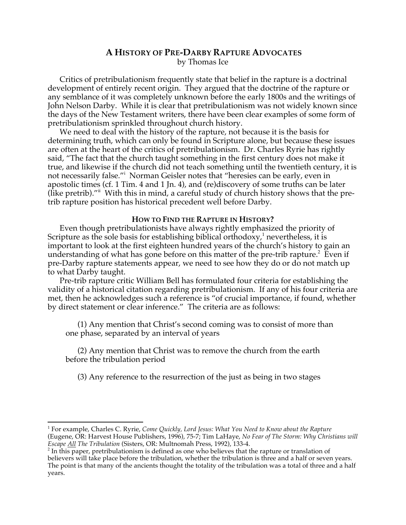# **A HISTORY OF PRE-DARBY RAPTURE ADVOCATES** by Thomas Ice

Critics of pretribulationism frequently state that belief in the rapture is a doctrinal development of entirely recent origin. They argued that the doctrine of the rapture or any semblance of it was completely unknown before the early 1800s and the writings of John Nelson Darby. While it is clear that pretribulationism was not widely known since the days of the New Testament writers, there have been clear examples of some form of pretribulationism sprinkled throughout church history.

We need to deal with the history of the rapture, not because it is the basis for determining truth, which can only be found in Scripture alone, but because these issues are often at the heart of the critics of pretribulationism. Dr. Charles Ryrie has rightly said, "The fact that the church taught something in the first century does not make it true, and likewise if the church did not teach something until the twentieth century, it is not necessarily false."<sup>i</sup> Norman Geisler notes that "heresies can be early, even in apostolic times (cf. 1 Tim. 4 and 1 Jn. 4), and (re)discovery of some truths can be later (like pretrib)."<sup>ii</sup> With this in mind, a careful study of church history shows that the pretrib rapture position has historical precedent well before Darby.

## **HOW TO FIND THE RAPTURE IN HISTORY?**

Even though pretribulationists have always rightly emphasized the priority of Scripture as the sole basis for establishing biblical orthodoxy, $<sup>1</sup>$  nevertheless, it is</sup> important to look at the first eighteen hundred years of the church's history to gain an understanding of what has gone before on this matter of the pre-trib rapture.<sup>2</sup> Even if pre-Darby rapture statements appear, we need to see how they do or do not match up to what Darby taught.

Pre-trib rapture critic William Bell has formulated four criteria for establishing the validity of a historical citation regarding pretribulationism. If any of his four criteria are met, then he acknowledges such a reference is "of crucial importance, if found, whether by direct statement or clear inference." The criteria are as follows:

(1) Any mention that Christ's second coming was to consist of more than one phase, separated by an interval of years

(2) Any mention that Christ was to remove the church from the earth before the tribulation period

(3) Any reference to the resurrection of the just as being in two stages

 <sup>1</sup> For example, Charles C. Ryrie, *Come Quickly, Lord Jesus: What You Need to Know about the Rapture* (Eugene, OR: Harvest House Publishers, 1996), 75-7; Tim LaHaye, *No Fear of The Storm: Why Christians will Escape <u>All</u> The Tribulation* (Sisters, OR: Multnomah Press, 1992), 133-4.<br><sup>2</sup> In this paper, pretribulationism is defined as one who believes that the rapture or translation of

believers will take place before the tribulation, whether the tribulation is three and a half or seven years. The point is that many of the ancients thought the totality of the tribulation was a total of three and a half years.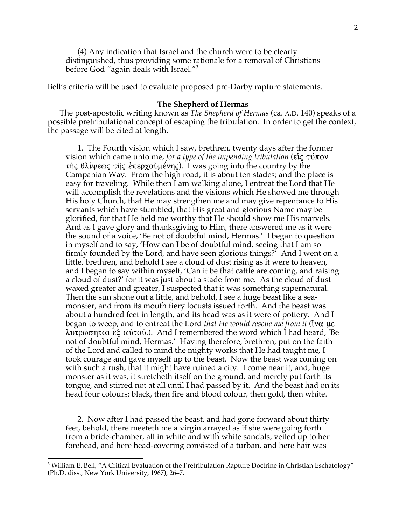(4) Any indication that Israel and the church were to be clearly distinguished, thus providing some rationale for a removal of Christians before God "again deals with Israel."3

Bell's criteria will be used to evaluate proposed pre-Darby rapture statements.

#### **The Shepherd of Hermas**

The post-apostolic writing known as *The Shepherd of Hermas* (ca. A.D. 140) speaks of a possible pretribulational concept of escaping the tribulation. In order to get the context, the passage will be cited at length.

1. The Fourth vision which I saw, brethren, twenty days after the former vision which came unto me, *for a type of the impending tribulation* ( $\epsilon i \zeta \tau \omega \pi o v$  $\tau$ ης θλίψεως της έπερχούμένης). I was going into the country by the Campanian Way. From the high road, it is about ten stades; and the place is easy for traveling. While then I am walking alone, I entreat the Lord that He will accomplish the revelations and the visions which He showed me through His holy Church, that He may strengthen me and may give repentance to His servants which have stumbled, that His great and glorious Name may be glorified, for that He held me worthy that He should show me His marvels. And as I gave glory and thanksgiving to Him, there answered me as it were the sound of a voice, 'Be not of doubtful mind, Hermas.' I began to question in myself and to say, 'How can I be of doubtful mind, seeing that I am so firmly founded by the Lord, and have seen glorious things?' And I went on a little, brethren, and behold I see a cloud of dust rising as it were to heaven, and I began to say within myself, 'Can it be that cattle are coming, and raising a cloud of dust?' for it was just about a stade from me. As the cloud of dust waxed greater and greater, I suspected that it was something supernatural. Then the sun shone out a little, and behold, I see a huge beast like a seamonster, and from its mouth fiery locusts issued forth. And the beast was about a hundred feet in length, and its head was as it were of pottery. And I began to weep, and to entreat the Lord *that He would rescue me from it* (*i*να με  $\lambda$ υτρώσηται έξ αύτου.). And I remembered the word which I had heard, 'Be not of doubtful mind, Hermas.' Having therefore, brethren, put on the faith of the Lord and called to mind the mighty works that He had taught me, I took courage and gave myself up to the beast. Now the beast was coming on with such a rush, that it might have ruined a city. I come near it, and, huge monster as it was, it stretcheth itself on the ground, and merely put forth its tongue, and stirred not at all until I had passed by it. And the beast had on its head four colours; black, then fire and blood colour, then gold, then white.

2. Now after I had passed the beast, and had gone forward about thirty feet, behold, there meeteth me a virgin arrayed as if she were going forth from a bride-chamber, all in white and with white sandals, veiled up to her forehead, and here head-covering consisted of a turban, and here hair was

<sup>&</sup>lt;sup>3</sup> William E. Bell, "A Critical Evaluation of the Pretribulation Rapture Doctrine in Christian Eschatology" (Ph.D. diss., New York University, 1967), 26–7.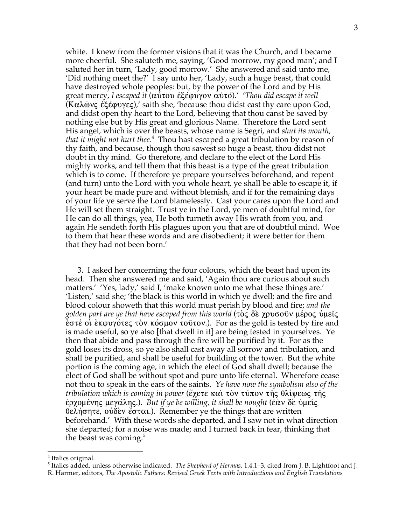white. I knew from the former visions that it was the Church, and I became more cheerful. She saluteth me, saying, 'Good morrow, my good man'; and I saluted her in turn, 'Lady, good morrow.' She answered and said unto me, 'Did nothing meet the?' I say unto her, 'Lady, such a huge beast, that could have destroyed whole peoples: but, by the power of the Lord and by His great mercy, *I escaped it* (αύτου εξέφυγον αυτό).' 'Thou did escape it well (Kαλῶνς ἐξέφυγες),' saith she, 'because thou didst cast thy care upon God, and didst open thy heart to the Lord, believing that thou canst be saved by nothing else but by His great and glorious Name. Therefore the Lord sent His angel, which is over the beasts, whose name is Segri, and *shut its mouth,*  that it might not hurt thee.<sup>4</sup> Thou hast escaped a great tribulation by reason of thy faith, and because, though thou sawest so huge a beast, thou didst not doubt in thy mind. Go therefore, and declare to the elect of the Lord His mighty works, and tell them that this beast is a type of the great tribulation which is to come. If therefore ye prepare yourselves beforehand, and repent (and turn) unto the Lord with you whole heart, ye shall be able to escape it, if your heart be made pure and without blemish, and if for the remaining days of your life ye serve the Lord blamelessly. Cast your cares upon the Lord and He will set them straight. Trust ye in the Lord, ye men of doubtful mind, for He can do all things, yea, He both turneth away His wrath from you, and again He sendeth forth His plagues upon you that are of doubtful mind. Woe to them that hear these words and are disobedient; it were better for them that they had not been born.'

3. I asked her concerning the four colours, which the beast had upon its head. Then she answered me and said, 'Again thou are curious about such matters.' 'Yes, lady,' said I, 'make known unto me what these things are.' 'Listen,' said she; 'the black is this world in which ye dwell; and the fire and blood colour showeth that this world must perish by blood and fire; *and the golden part are ye that have escaped from this world* (τὸς δὲ χρυσοῦν μέρος ὑμεῖς ejste/ oiJ ejkfugo/teß to\n ko/smon touvton.). For as the gold is tested by fire and is made useful, so ye also [that dwell in it] are being tested in yourselves. Ye then that abide and pass through the fire will be purified by it. For as the gold loses its dross, so ye also shall cast away all sorrow and tribulation, and shall be purified, and shall be useful for building of the tower. But the white portion is the coming age, in which the elect of God shall dwell; because the elect of God shall be without spot and pure unto life eternal. Wherefore cease not thou to speak in the ears of the saints. *Ye have now the symbolism also of the tribulation which is coming in power* (έχετε και τον τύπον της θλίψεως της  $\epsilon$ ρχομένης μεγάλης.). *But if ye be willing, it shall be nought* (εὸλν δὲ ὑμεῖς  $\theta$ ελήσητε, οὐδὲν ἔσται.). Remember ye the things that are written beforehand.' With these words she departed, and I saw not in what direction she departed; for a noise was made; and I turned back in fear, thinking that the beast was coming.<sup>5</sup>

<sup>&</sup>lt;sup>4</sup> Italics original.

<sup>5</sup> Italics added, unless otherwise indicated. *The Shepherd of Hermas,* 1.4.1–3, cited from J. B. Lightfoot and J. R. Harmer, editors, *The Apostolic Fathers: Revised Greek Texts with Introductions and English Translations*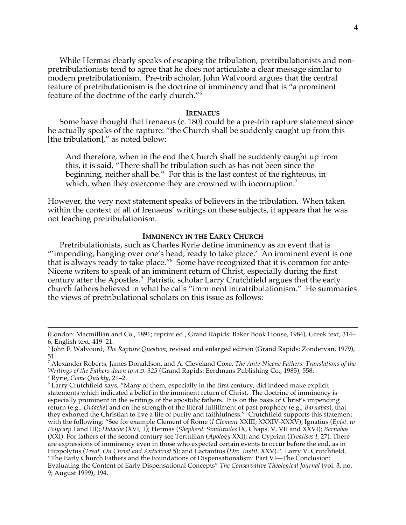While Hermas clearly speaks of escaping the tribulation, pretribulationists and nonpretribulationists tend to agree that he does not articulate a clear message similar to modern pretribulationism. Pre-trib scholar, John Walvoord argues that the central feature of pretribulationism is the doctrine of imminency and that is "a prominent feature of the doctrine of the early church."<sup>6</sup>

#### **IRENAEUS**

Some have thought that Irenaeus (c. 180) could be a pre-trib rapture statement since he actually speaks of the rapture: "the Church shall be suddenly caught up from this [the tribulation]," as noted below:

And therefore, when in the end the Church shall be suddenly caught up from this, it is said, "There shall be tribulation such as has not been since the beginning, neither shall be." For this is the last contest of the righteous, in which, when they overcome they are crowned with incorruption.<sup>7</sup>

However, the very next statement speaks of believers in the tribulation. When taken within the context of all of Irenaeus' writings on these subjects, it appears that he was not teaching pretribulationism.

## **IMMINENCY IN THE EARLY CHURCH**

Pretribulationists, such as Charles Ryrie define imminency as an event that is "'impending, hanging over one's head, ready to take place.' An imminent event is one that is always ready to take place."<sup>8</sup> Some have recognized that it is common for ante-Nicene writers to speak of an imminent return of Christ, especially during the first century after the Apostles.<sup>9</sup> Patristic scholar Larry Crutchfield argues that the early church fathers believed in what he calls "imminent intratribulationism." He summaries the views of pretribulational scholars on this issue as follows:

 <sup>(</sup>London: Macmillian and Co., 1891; reprint ed., Grand Rapids: Baker Book House, 1984), Greek text, 314– 6, English text, 419–21.<br><sup>6</sup> John F. Walvoord, *The Rapture Question,* revised and enlarged edition (Grand Rapids: Zondervan, 1979),

<sup>51.</sup>

<sup>7</sup> Alexander Roberts, James Donaldson, and A. Cleveland Coxe, *The Ante-Nicene Fathers: Translations of the* 

<sup>&</sup>lt;sup>8</sup> Ryrie, *Come Quickly*, 21–2.<br><sup>9</sup> Larry Crutchfield says, "Many of them, especially in the first century, did indeed make explicit statements which indicated a belief in the imminent return of Christ. The doctrine of imminency is especially prominent in the writings of the apostolic fathers. It is on the basis of Christ's impending return (e.g., *Didache*) and on the strength of the literal fulfillment of past prophecy (e.g., *Barnabas*), that they exhorted the Christian to live a life of purity and faithfulness." Crutchfield supports this statement with the following: "See for example Clement of Rome (*I Clement* XXIII; XXXIV-XXXV); Ignatius (*Epist. to Polycarp* I and III); *Didache* (XVI, 1); Hermas (*Shepherd: Similitudes* IX, Chaps. V, VII and XXVI); *Barnabas* (XXI). For fathers of the second century see Tertullian (*Apology* XXI); and Cyprian (*Treatises I,* 27). There are expressions of imminency even in those who expected certain events to occur before the end, as in Hippolytus (*Treat. On Christ and Antichrist* 5); and Lactantius (*Div. Instit*. XXV)." Larry V. Crutchfield, "The Early Church Fathers and the Foundations of Dispensationalism: Part VI—The Conclusion: Evaluating the Content of Early Dispensational Concepts" *The Conservative Theological Journal* (vol. 3, no. 9; August 1999), 194.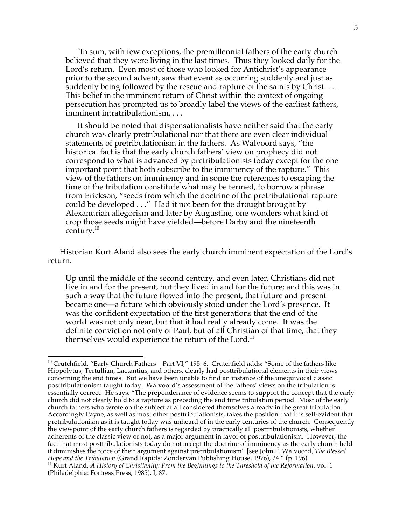`In sum, with few exceptions, the premillennial fathers of the early church believed that they were living in the last times. Thus they looked daily for the Lord's return. Even most of those who looked for Antichrist's appearance prior to the second advent, saw that event as occurring suddenly and just as suddenly being followed by the rescue and rapture of the saints by Christ. . . . This belief in the imminent return of Christ within the context of ongoing persecution has prompted us to broadly label the views of the earliest fathers, imminent intratribulationism. . . .

It should be noted that dispensationalists have neither said that the early church was clearly pretribulational nor that there are even clear individual statements of pretribulationism in the fathers. As Walvoord says, "the historical fact is that the early church fathers' view on prophecy did not correspond to what is advanced by pretribulationists today except for the one important point that both subscribe to the imminency of the rapture." This view of the fathers on imminency and in some the references to escaping the time of the tribulation constitute what may be termed, to borrow a phrase from Erickson, "seeds from which the doctrine of the pretribulational rapture could be developed . . ." Had it not been for the drought brought by Alexandrian allegorism and later by Augustine, one wonders what kind of crop those seeds might have yielded—before Darby and the nineteenth century.10

Historian Kurt Aland also sees the early church imminent expectation of the Lord's return.

Up until the middle of the second century, and even later, Christians did not live in and for the present, but they lived in and for the future; and this was in such a way that the future flowed into the present, that future and present became one—a future which obviously stood under the Lord's presence. It was the confident expectation of the first generations that the end of the world was not only near, but that it had really already come. It was the definite conviction not only of Paul, but of all Christian of that time, that they themselves would experience the return of the Lord.<sup>11</sup>

 $10$  Crutchfield, "Early Church Fathers—Part VI," 195–6. Crutchfield adds: "Some of the fathers like Hippolytus, Tertullian, Lactantius, and others, clearly had posttribulational elements in their views concerning the end times. But we have been unable to find an instance of the unequivocal classic posttribulationism taught today. Walvoord's assessment of the fathers' views on the tribulation is essentially correct. He says, "The preponderance of evidence seems to support the concept that the early church did not clearly hold to a rapture as preceding the end time tribulation period. Most of the early church fathers who wrote on the subject at all considered themselves already in the great tribulation. Accordingly Payne, as well as most other posttribulationists, takes the position that it is self-evident that pretribulationism as it is taught today was unheard of in the early centuries of the church. Consequently the viewpoint of the early church fathers is regarded by practically all posttribulationists, whether adherents of the classic view or not, as a major argument in favor of posttribulationism. However, the fact that most posttribulationists today do not accept the doctrine of imminency as the early church held it diminishes the force of their argument against pretribulationism" [see John F. Walvoord, *The Blessed* 

<sup>&</sup>lt;sup>11</sup> Kurt Aland, *A History of Christianity: From the Beginnings to the Threshold of the Reformation, vol. 1* (Philadelphia: Fortress Press, 1985), I, 87.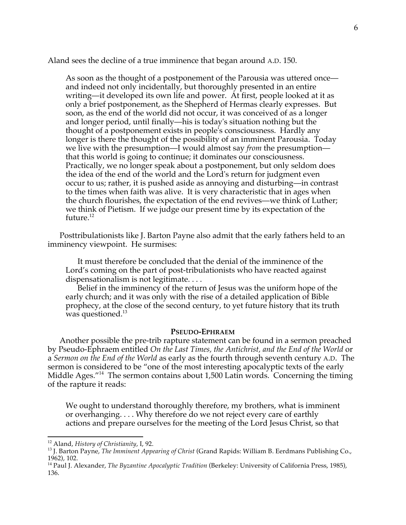Aland sees the decline of a true imminence that began around A.D. 150.

As soon as the thought of a postponement of the Parousia was uttered once and indeed not only incidentally, but thoroughly presented in an entire writing—it developed its own life and power. At first, people looked at it as only a brief postponement, as the Shepherd of Hermas clearly expresses. But soon, as the end of the world did not occur, it was conceived of as a longer and longer period, until finally—his is today's situation nothing but the thought of a postponement exists in people's consciousness. Hardly any longer is there the thought of the possibility of an imminent Parousia. Today we live with the presumption—I would almost say *from* the presumption that this world is going to continue; it dominates our consciousness. Practically, we no longer speak about a postponement, but only seldom does the idea of the end of the world and the Lord's return for judgment even occur to us; rather, it is pushed aside as annoying and disturbing—in contrast to the times when faith was alive. It is very characteristic that in ages when the church flourishes, the expectation of the end revives—we think of Luther; we think of Pietism. If we judge our present time by its expectation of the future.<sup>12</sup>

Posttribulationists like J. Barton Payne also admit that the early fathers held to an imminency viewpoint. He surmises:

It must therefore be concluded that the denial of the imminence of the Lord's coming on the part of post-tribulationists who have reacted against dispensationalism is not legitimate. . . .

Belief in the imminency of the return of Jesus was the uniform hope of the early church; and it was only with the rise of a detailed application of Bible prophecy, at the close of the second century, to yet future history that its truth was questioned.<sup>13</sup>

## **PSEUDO-EPHRAEM**

Another possible the pre-trib rapture statement can be found in a sermon preached by Pseudo-Ephraem entitled *On the Last Times, the Antichrist, and the End of the World* or a *Sermon on the End of the World* as early as the fourth through seventh century A.D. The sermon is considered to be "one of the most interesting apocalyptic texts of the early Middle Ages."<sup>14</sup> The sermon contains about 1,500 Latin words. Concerning the timing of the rapture it reads:

We ought to understand thoroughly therefore, my brothers, what is imminent or overhanging. . . . Why therefore do we not reject every care of earthly actions and prepare ourselves for the meeting of the Lord Jesus Christ, so that

<sup>&</sup>lt;sup>12</sup> Aland, *History of Christianity*, I, 92.<br><sup>13</sup> J. Barton Payne, *The Imminent Appearing of Christ* (Grand Rapids: William B. Eerdmans Publishing Co., 1962), 102.

<sup>14</sup> Paul J. Alexander, *The Byzantine Apocalyptic Tradition* (Berkeley: University of California Press, 1985), 136.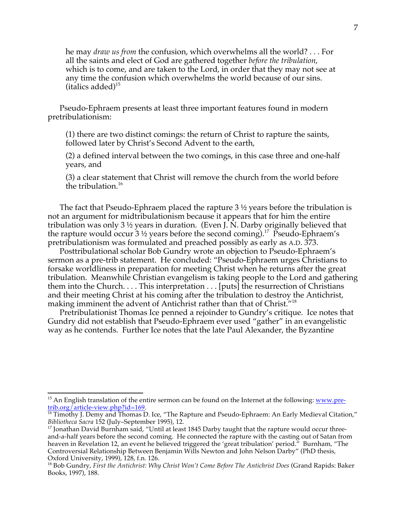he may *draw us from* the confusion, which overwhelms all the world? . . . For all the saints and elect of God are gathered together *before the tribulation*, which is to come, and are taken to the Lord, in order that they may not see at any time the confusion which overwhelms the world because of our sins.  $(italics added)<sup>15</sup>$ 

Pseudo-Ephraem presents at least three important features found in modern pretribulationism:

(1) there are two distinct comings: the return of Christ to rapture the saints, followed later by Christ's Second Advent to the earth,

(2) a defined interval between the two comings, in this case three and one-half years, and

(3) a clear statement that Christ will remove the church from the world before the tribulation.<sup>16</sup>

The fact that Pseudo-Ephraem placed the rapture 3 ½ years before the tribulation is not an argument for midtribulationism because it appears that for him the entire tribulation was only 3 ½ years in duration. (Even J. N. Darby originally believed that the rapture would occur  $3\frac{1}{2}$  years before the second coming).<sup>17</sup> Pseudo-Ephraem's pretribulationism was formulated and preached possibly as early as A.D. 373.

Posttribulational scholar Bob Gundry wrote an objection to Pseudo-Ephraem's sermon as a pre-trib statement. He concluded: "Pseudo-Ephraem urges Christians to forsake worldliness in preparation for meeting Christ when he returns after the great tribulation. Meanwhile Christian evangelism is taking people to the Lord and gathering them into the Church. . . . This interpretation . . . [puts] the resurrection of Christians and their meeting Christ at his coming after the tribulation to destroy the Antichrist, making imminent the advent of Antichrist rather than that of Christ."<sup>18</sup>

Pretribulationist Thomas Ice penned a rejoinder to Gundry's critique. Ice notes that Gundry did not establish that Pseudo-Ephraem ever used "gather" in an evangelistic way as he contends. Further Ice notes that the late Paul Alexander, the Byzantine

<sup>&</sup>lt;sup>15</sup> An English translation of the entire sermon can be found on the Internet at the following: www.pre-

<sup>&</sup>lt;u>trib.org/article-view.php?id=169</u>.<br><sup>16</sup> Timothy J. Demy and Thomas D. Ice, "The Rapture and Pseudo-Ephraem: An Early Medieval Citation,"

*Bibliotheca Sacra* 152 (July–September 1995), 12.<br><sup>17</sup> Jonathan David Burnham said, "Until at least 1845 Darby taught that the rapture would occur threeand-a-half years before the second coming. He connected the rapture with the casting out of Satan from heaven in Revelation 12, an event he believed triggered the 'great tribulation' period." Burnham, "The Controversial Relationship Between Benjamin Wills Newton and John Nelson Darby" (PhD thesis,

<sup>&</sup>lt;sup>18</sup> Bob Gundry, *First the Antichrist: Why Christ Won't Come Before The Antichrist Does* (Grand Rapids: Baker Books, 1997), 188.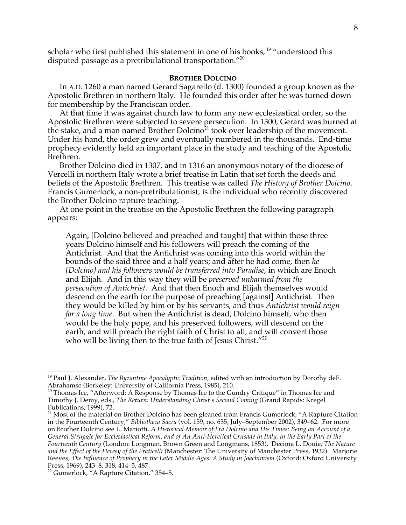scholar who first published this statement in one of his books, <sup>19</sup> "understood this disputed passage as a pretribulational transportation."<sup>20</sup>

### **BROTHER DOLCINO**

In A.D. 1260 a man named Gerard Sagarello (d. 1300) founded a group known as the Apostolic Brethren in northern Italy. He founded this order after he was turned down for membership by the Franciscan order.

At that time it was against church law to form any new ecclesiastical order, so the Apostolic Brethren were subjected to severe persecution. In 1300, Gerard was burned at the stake, and a man named Brother Dolcino<sup>21</sup> took over leadership of the movement. Under his hand, the order grew and eventually numbered in the thousands. End-time prophecy evidently held an important place in the study and teaching of the Apostolic Brethren.

Brother Dolcino died in 1307, and in 1316 an anonymous notary of the diocese of Vercelli in northern Italy wrote a brief treatise in Latin that set forth the deeds and beliefs of the Apostolic Brethren. This treatise was called *The History of Brother Dolcino*. Francis Gumerlock, a non-pretribulationist, is the individual who recently discovered the Brother Dolcino rapture teaching.

At one point in the treatise on the Apostolic Brethren the following paragraph appears:

Again, [Dolcino believed and preached and taught] that within those three years Dolcino himself and his followers will preach the coming of the Antichrist. And that the Antichrist was coming into this world within the bounds of the said three and a half years; and after he had come, then *he [Dolcino] and his followers would be transferred into Paradise*, in which are Enoch and Elijah. And in this way they will be *preserved unharmed from the persecution of Antichrist.* And that then Enoch and Elijah themselves would descend on the earth for the purpose of preaching [against] Antichrist. Then they would be killed by him or by his servants, and thus *Antichrist would reign for a long time*. But when the Antichrist is dead, Dolcino himself, who then would be the holy pope, and his preserved followers, will descend on the earth, and will preach the right faith of Christ to all, and will convert those who will be living then to the true faith of Jesus Christ."<sup>22</sup>

<sup>&</sup>lt;sup>19</sup> Paul J. Alexander, *The Byzantine Apocalyptic Tradition,* edited with an introduction by Dorothy deF.<br>Abrahamse (Berkeley: University of California Press, 1985), 210.

 $20$  Thomas Ice, "Afterword: A Response by Thomas Ice to the Gundry Critique" in Thomas Ice and Timothy J. Demy, eds., *The Return: Understanding Christ's Second Coming* (Grand Rapids: Kregel Publications, 1999), 72.<br><sup>21</sup> Most of the material on Brother Dolcino has been gleaned from Francis Gumerlock, "A Rapture Citation

in the Fourteenth Century," *Bibliotheca Sacra* (vol. 159, no. 635; July–September 2002), 349–62. For more on Brother Dolcino see L. Mariotti, *A Historical Memoir of Fra Dolcino and His Times: Being an Account of a General Struggle for Ecclesiastical Reform, and of An Anti-Heretical Crusade in Italy, in the Early Part of the Fourteenth Century* (London: Longman, Brown Green and Longmans, 1853). Decima L. Douie, *The Nature and the Effect of the Heresy of the Fraticelli* (Manchester: The University of Manchester Press, 1932). Marjorie Reeves, *The Influence of Prophecy in the Later Middle Ages: A Study in Joachimism* (Oxford: Oxford University Press, 1969), 243–8, 318, 414–5, 487.<br><sup>22</sup> Gumerlock, "A Rapture Citation," 354–5.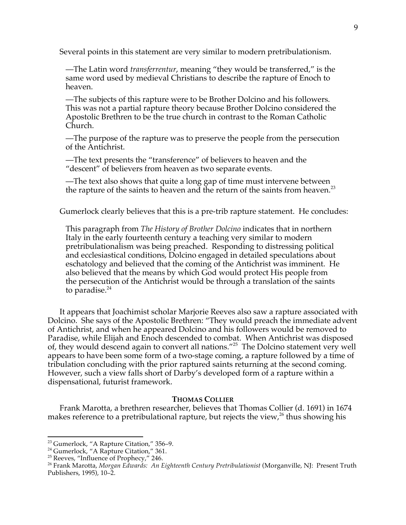Several points in this statement are very similar to modern pretribulationism.

—The Latin word *transferrentur*, meaning "they would be transferred," is the same word used by medieval Christians to describe the rapture of Enoch to heaven.

—The subjects of this rapture were to be Brother Dolcino and his followers. This was not a partial rapture theory because Brother Dolcino considered the Apostolic Brethren to be the true church in contrast to the Roman Catholic Church.

—The purpose of the rapture was to preserve the people from the persecution of the Antichrist.

—The text presents the "transference" of believers to heaven and the "descent" of believers from heaven as two separate events.

—The text also shows that quite a long gap of time must intervene between the rapture of the saints to heaven and the return of the saints from heaven.<sup>23</sup>

Gumerlock clearly believes that this is a pre-trib rapture statement. He concludes:

This paragraph from *The History of Brother Dolcino* indicates that in northern Italy in the early fourteenth century a teaching very similar to modern pretribulationalism was being preached. Responding to distressing political and ecclesiastical conditions, Dolcino engaged in detailed speculations about eschatology and believed that the coming of the Antichrist was imminent. He also believed that the means by which God would protect His people from the persecution of the Antichrist would be through a translation of the saints to paradise. $24$ 

It appears that Joachimist scholar Marjorie Reeves also saw a rapture associated with Dolcino. She says of the Apostolic Brethren: "They would preach the immediate advent of Antichrist, and when he appeared Dolcino and his followers would be removed to Paradise, while Elijah and Enoch descended to combat. When Antichrist was disposed of, they would descend again to convert all nations."25 The Dolcino statement very well appears to have been some form of a two-stage coming, a rapture followed by a time of tribulation concluding with the prior raptured saints returning at the second coming. However, such a view falls short of Darby's developed form of a rapture within a dispensational, futurist framework.

## **THOMAS COLLIER**

Frank Marotta, a brethren researcher, believes that Thomas Collier (d. 1691) in 1674 makes reference to a pretribulational rapture, but rejects the view,<sup>26</sup> thus showing his

<sup>&</sup>lt;sup>23</sup> Gumerlock, "A Rapture Citation," 356–9.<br><sup>24</sup> Gumerlock, "A Rapture Citation," 361.<br><sup>25</sup> Reeves, "Influence of Prophecy," 246.<br><sup>25</sup> Frank Marotta, *Morgan Edwards: An Eighteenth Century Pretribulationist* (Morganville, Publishers, 1995), 10–2.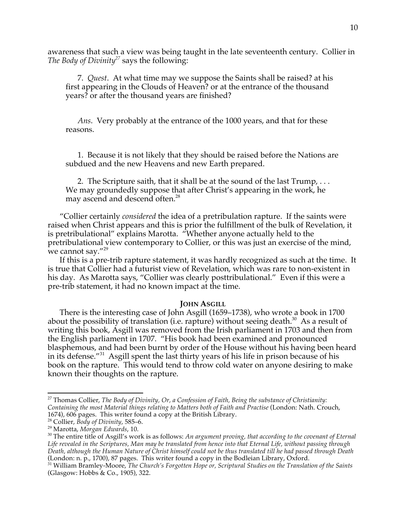awareness that such a view was being taught in the late seventeenth century. Collier in *The Body of Divinity*<sup>27</sup> says the following:

7. *Quest*. At what time may we suppose the Saints shall be raised? at his first appearing in the Clouds of Heaven? or at the entrance of the thousand years? or after the thousand years are finished?

*Ans*. Very probably at the entrance of the 1000 years, and that for these reasons.

1. Because it is not likely that they should be raised before the Nations are subdued and the new Heavens and new Earth prepared.

2. The Scripture saith, that it shall be at the sound of the last Trump, . . . We may groundedly suppose that after Christ's appearing in the work, he may ascend and descend often.<sup>28</sup>

"Collier certainly *considered* the idea of a pretribulation rapture. If the saints were raised when Christ appears and this is prior the fulfillment of the bulk of Revelation, it is pretribulational" explains Marotta. "Whether anyone actually held to the pretribulational view contemporary to Collier, or this was just an exercise of the mind, we cannot say."<sup>29</sup>

If this is a pre-trib rapture statement, it was hardly recognized as such at the time. It is true that Collier had a futurist view of Revelation, which was rare to non-existent in his day. As Marotta says, "Collier was clearly posttribulational." Even if this were a pre-trib statement, it had no known impact at the time.

## **JOHN ASGILL**

There is the interesting case of John Asgill (1659–1738), who wrote a book in 1700 about the possibility of translation (i.e. rapture) without seeing death.<sup>30</sup> As a result of writing this book, Asgill was removed from the Irish parliament in 1703 and then from the English parliament in 1707. "His book had been examined and pronounced blasphemous, and had been burnt by order of the House without his having been heard in its defense."31 Asgill spent the last thirty years of his life in prison because of his book on the rapture. This would tend to throw cold water on anyone desiring to make known their thoughts on the rapture.

 <sup>27</sup> Thomas Collier, *The Body of Divinity, Or, a Confession of Faith, Being the substance of Christianity: Containing the most Material things relating to Matters both of Faith and Practise* (London: Nath. Crouch, 1674), 606 pages. This writer found a copy at the British Library.<br><sup>28</sup> Collier, *Body of Divinity*, 585–6.

<sup>&</sup>lt;sup>29</sup> Marotta, *Morgan Edwards*, 10.<br><sup>30</sup> The entire title of Asgill's work is as follows: *An argument proving, that according to the covenant of Eternal Life revealed in the Scriptures, Man may be translated from hence into that Eternal Life, without passing through Death, although the Human Nature of Christ himself could not be thus translated till he had passed through Death*

<sup>&</sup>lt;sup>31</sup> William Bramley-Moore, *The Church's Forgotten Hope or, Scriptural Studies on the Translation of the Saints* (Glasgow: Hobbs & Co., 1905), 322.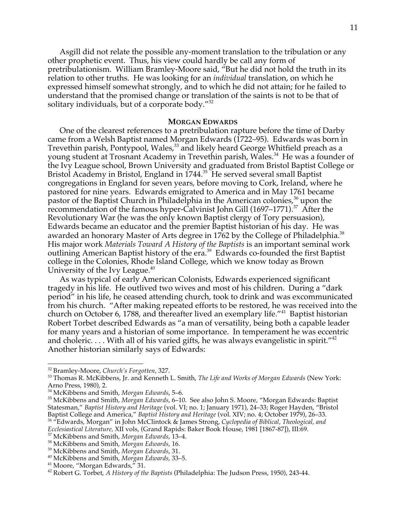Asgill did not relate the possible any-moment translation to the tribulation or any other prophetic event. Thus, his view could hardly be call any form of pretribulationism. William Bramley-Moore said, "But he did not hold the truth in its relation to other truths. He was looking for an *individual* translation, on which he expressed himself somewhat strongly, and to which he did not attain; for he failed to understand that the promised change or translation of the saints is not to be that of solitary individuals, but of a corporate body."<sup>32</sup>

#### **MORGAN EDWARDS**

One of the clearest references to a pretribulation rapture before the time of Darby came from a Welsh Baptist named Morgan Edwards (1722–95). Edwards was born in Trevethin parish, Pontypool, Wales, <sup>33</sup> and likely heard George Whitfield preach as a young student at Trosnant Academy in Trevethin parish, Wales.<sup>34</sup> He was a founder of the Ivy League school, Brown University and graduated from Bristol Baptist College or Bristol Academy in Bristol, England in 1744.<sup>35</sup> He served several small Baptist congregations in England for seven years, before moving to Cork, Ireland, where he pastored for nine years. Edwards emigrated to America and in May 1761 became pastor of the Baptist Church in Philadelphia in the American colonies,  $36$  upon the recommendation of the famous hyper-Calvinist John Gill  $(1697–1771).$ <sup>37</sup> After the Revolutionary War (he was the only known Baptist clergy of Tory persuasion), Edwards became an educator and the premier Baptist historian of his day. He was awarded an honorary Master of Arts degree in 1762 by the College of Philadelphia.<sup>38</sup> His major work *Materials Toward A History of the Baptists* is an important seminal work outlining American Baptist history of the era.<sup>39</sup> Edwards co-founded the first Baptist college in the Colonies, Rhode Island College, which we know today as Brown University of the Ivy League.<sup>40</sup>

As was typical of early American Colonists, Edwards experienced significant tragedy in his life. He outlived two wives and most of his children. During a "dark period" in his life, he ceased attending church, took to drink and was excommunicated from his church. "After making repeated efforts to be restored, he was received into the church on October 6, 1788, and thereafter lived an exemplary life."41 Baptist historian Robert Torbet described Edwards as "a man of versatility, being both a capable leader for many years and a historian of some importance. In temperament he was eccentric and choleric.  $\dots$  With all of his varied gifts, he was always evangelistic in spirit."<sup>42</sup> Another historian similarly says of Edwards:

<sup>&</sup>lt;sup>32</sup> Bramley-Moore, *Church's Forgotten,* 327.<br><sup>33</sup> Thomas R. McKibbens, Jr. and Kenneth L. Smith, *The Life and Works of Morgan Edwards* (New York: Arno Press, 1980), 2.<br><sup>34</sup> McKibbens and Smith, *Morgan Edwards*, 5–6.

<sup>&</sup>lt;sup>35</sup> McKibbens and Smith, *Morgan Edwards*, 6–10. See also John S. Moore, "Morgan Edwards: Baptist Statesman," *Baptist History and Heritage* (vol. VI; no. 1; January 1971), 24–33; Roger Hayden, "Bristol <sup>36</sup> "Edwards, Morgan" in John McClintock & James Strong, Cyclopedia of Biblical, Theological, and

Ecclesiastical Literature, XII vols, (Grand Rapids: Baker Book House, 1981 [1867-87]), III:69.<br><sup>37</sup> McKibbens and Smith, *Morgan Edwards*, 13–4.<br><sup>38</sup> McKibbens and Smith, *Morgan Edwards*, 16.<br><sup>40</sup> McKibbens and Smith, *Mo*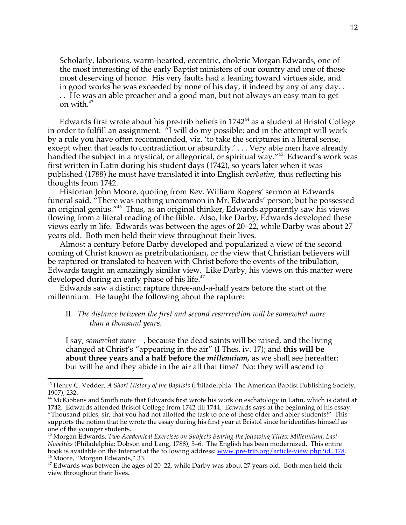Scholarly, laborious, warm-hearted, eccentric, choleric Morgan Edwards, one of the most interesting of the early Baptist ministers of our country and one of those most deserving of honor. His very faults had a leaning toward virtues side, and in good works he was exceeded by none of his day, if indeed by any of any day. . . . He was an able preacher and a good man, but not always an easy man to get on with.<sup>43</sup>

Edwards first wrote about his pre-trib beliefs in  $1742<sup>44</sup>$  as a student at Bristol College in order to fulfill an assignment.  $\overline{a}$  will do my possible: and in the attempt will work by a rule you have often recommended, viz. 'to take the scriptures in a literal sense, except when that leads to contradiction or absurdity.' . . . Very able men have already handled the subject in a mystical, or allegorical, or spiritual way."<sup>45</sup> Edward's work was first written in Latin during his student days (1742), so years later when it was published (1788) he must have translated it into English *verbatim*, thus reflecting his thoughts from 1742.

Historian John Moore, quoting from Rev. William Rogers' sermon at Edwards funeral said, "There was nothing uncommon in Mr. Edwards' person; but he possessed an original genius."46 Thus, as an original thinker, Edwards apparently saw his views flowing from a literal reading of the Bible. Also, like Darby, Edwards developed these views early in life. Edwards was between the ages of 20–22, while Darby was about 27 years old. Both men held their view throughout their lives.

Almost a century before Darby developed and popularized a view of the second coming of Christ known as pretribulationism, or the view that Christian believers will be raptured or translated to heaven with Christ before the events of the tribulation, Edwards taught an amazingly similar view. Like Darby, his views on this matter were developed during an early phase of his life.<sup>47</sup>

Edwards saw a distinct rapture three-and-a-half years before the start of the millennium. He taught the following about the rapture:

# II. *The distance between the first and second resurrection will be somewhat more than a thousand years.*

I say, *somewhat more—,* because the dead saints will be raised, and the living changed at Christ's "appearing in the air" (I Thes. iv. 17); and **this will be about three years and a half before the** *millennium,* as we shall see hereafter: but will he and they abide in the air all that time? No: they will ascend to

 <sup>43</sup> Henry C. Vedder, *A Short History of the Baptists* (Philadelphia: The American Baptist Publishing Society, 1907), 232.

<sup>&</sup>lt;sup>44</sup> McKibbens and Smith note that Edwards first wrote his work on eschatology in Latin, which is dated at 1742. Edwards attended Bristol College from 1742 till 1744. Edwards says at the beginning of his essay: "Thousand pities, sir, that you had not allotted the task to one of these older and abler students!" This supports the notion that he wrote the essay during his first year at Bristol since he identifies himself as

one of the younger students.<br><sup>45</sup> Morgan Edwards, *Two Academical Exercises on Subjects Bearing the following Titles; Millennium, Last-Novelties* (Philadelphia: Dobson and Lang, 1788), 5–6. The English has been modernized. This entire book is available on the Internet at the following address: <u>www.pre-trib.org/article-view.php?id=178</u>.<br><sup>46</sup> Moore, "Morgan Edwards," 33.<br><sup>47</sup> Edwards was between the ages of 20–22, while Darby was about 27 years old. Both

view throughout their lives.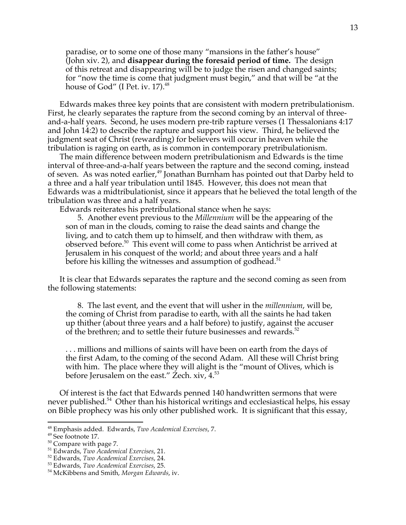paradise, or to some one of those many "mansions in the father's house" (John xiv. 2), and **disappear during the foresaid period of time.** The design of this retreat and disappearing will be to judge the risen and changed saints; for "now the time is come that judgment must begin," and that will be "at the house of God" (I Pet. iv. 17).<sup>48</sup>

Edwards makes three key points that are consistent with modern pretribulationism. First, he clearly separates the rapture from the second coming by an interval of threeand-a-half years. Second, he uses modern pre-trib rapture verses (1 Thessalonians 4:17 and John 14:2) to describe the rapture and support his view. Third, he believed the judgment seat of Christ (rewarding) for believers will occur in heaven while the tribulation is raging on earth, as is common in contemporary pretribulationism.

The main difference between modern pretribulationism and Edwards is the time interval of three-and-a-half years between the rapture and the second coming, instead of seven. As was noted earlier,<sup>49</sup> Jonathan Burnham has pointed out that Darby held to a three and a half year tribulation until 1845. However, this does not mean that Edwards was a midtribulationist, since it appears that he believed the total length of the tribulation was three and a half years.

Edwards reiterates his pretribulational stance when he says:

5. Another event previous to the *Millennium* will be the appearing of the son of man in the clouds, coming to raise the dead saints and change the living, and to catch them up to himself, and then withdraw with them, as observed before.50 This event will come to pass when Antichrist be arrived at Jerusalem in his conquest of the world; and about three years and a half before his killing the witnesses and assumption of godhead. $51$ 

It is clear that Edwards separates the rapture and the second coming as seen from the following statements:

8. The last event, and the event that will usher in the *millennium*, will be, the coming of Christ from paradise to earth, with all the saints he had taken up thither (about three years and a half before) to justify, against the accuser of the brethren; and to settle their future businesses and rewards.<sup>52</sup>

. . . millions and millions of saints will have been on earth from the days of the first Adam, to the coming of the second Adam. All these will Christ bring with him. The place where they will alight is the "mount of Olives, which is before Jerusalem on the east." Zech. xiv, 4.<sup>53</sup>

Of interest is the fact that Edwards penned 140 handwritten sermons that were never published.<sup>54</sup> Other than his historical writings and ecclesiastical helps, his essay on Bible prophecy was his only other published work. It is significant that this essay,

<sup>&</sup>lt;sup>48</sup> Emphasis added. Edwards, *Two Academical Exercises*, 7.<br><sup>49</sup> See footnote 17.<br><sup>50</sup> Compare with page 7.<br><sup>51</sup> Edwards, *Two Academical Exercises*, 21.<br><sup>52</sup> Edwards, *Two Academical Exercises*, 24.<br><sup>53</sup> Edwards, *Two A*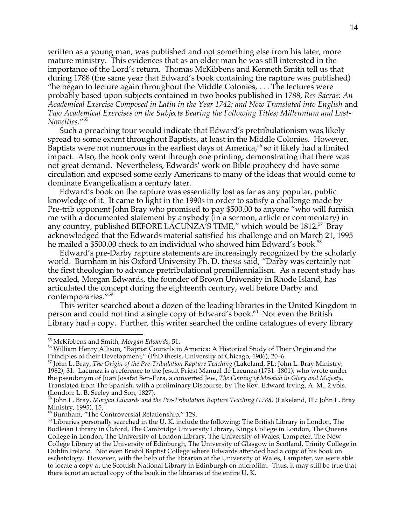written as a young man, was published and not something else from his later, more mature ministry. This evidences that as an older man he was still interested in the importance of the Lord's return. Thomas McKibbens and Kenneth Smith tell us that during 1788 (the same year that Edward's book containing the rapture was published) "he began to lecture again throughout the Middle Colonies,  $\dots$  The lectures were probably based upon subjects contained in two books published in 1788, *Res Sacrae: An Academical Exercise Composed in Latin in the Year 1742; and Now Translated into English* and *Two Academical Exercises on the Subjects Bearing the Following Titles; Millennium and Last-Novelties*."55

Such a preaching tour would indicate that Edward's pretribulationism was likely spread to some extent throughout Baptists, at least in the Middle Colonies. However, Baptists were not numerous in the earliest days of America,<sup>56</sup> so it likely had a limited impact. Also, the book only went through one printing, demonstrating that there was not great demand. Nevertheless, Edwards' work on Bible prophecy did have some circulation and exposed some early Americans to many of the ideas that would come to dominate Evangelicalism a century later.

Edward's book on the rapture was essentially lost as far as any popular, public knowledge of it. It came to light in the 1990s in order to satisfy a challenge made by Pre-trib opponent John Bray who promised to pay \$500.00 to anyone "who will furnish me with a documented statement by anybody (in a sermon, article or commentary) in any country, published BEFORE LÁCUNZA'S TIME," which would be 1812.<sup>57</sup> Bray acknowledged that the Edwards material satisfied his challenge and on March 21, 1995 he mailed a \$500.00 check to an individual who showed him Edward's book.<sup>58</sup>

Edward's pre-Darby rapture statements are increasingly recognized by the scholarly world. Burnham in his Oxford University Ph. D. thesis said, "Darby was certainly not the first theologian to advance pretribulational premillennialism. As a recent study has revealed, Morgan Edwards, the founder of Brown University in Rhode Island, has articulated the concept during the eighteenth century, well before Darby and contemporaries."<sup>59</sup>

This writer searched about a dozen of the leading libraries in the United Kingdom in person and could not find a single copy of Edward's book.<sup>60</sup> Not even the British Library had a copy. Further, this writer searched the online catalogues of every library

<sup>&</sup>lt;sup>55</sup> McKibbens and Smith*, Morgan Edwards,* 51.<br><sup>56</sup> William Henry Allison, "Baptist Councils in America: A Historical Study of Their Origin and the Principles of their Development," (PhD thesis, University of Chicago, 1906), 20–6. <sup>57</sup> John L. Bray, *The Origin of the Pre-Tribulation Rapture Teaching* (Lakeland, FL: John L. Bray Ministry,

<sup>1982), 31.</sup> Lacunza is a reference to the Jesuit Priest Manual de Lacunza (1731–1801), who wrote under the pseudonym of Juan Josafat Ben-Ezra, a converted Jew, *The Coming of Messiah in Glory and Majesty*, Translated from The Spanish, with a preliminary Discourse, by The Rev. Edward Irving, A. M., 2 vols. (London: L. B. Seeley and Son, 1827).

<sup>58</sup> John L. Bray, *Morgan Edwards and the Pre-Tribulation Rapture Teaching (1788)* (Lakeland, FL: John L. Bray

Ministry, 1995), 15.<br><sup>59</sup> Burnham, "The Controversial Relationship," 129.

 $^{60}$  Libraries personally searched in the U. K. include the following: The British Library in London, The Bodleian Library in Oxford, The Cambridge University Library, Kings College in London, The Queens College in London, The University of London Library, The University of Wales, Lampeter, The New College Library at the University of Edinburgh, The University of Glasgow in Scotland, Trinity College in Dublin Ireland. Not even Bristol Baptist College where Edwards attended had a copy of his book on eschatology. However, with the help of the librarian at the University of Wales, Lampeter, we were able to locate a copy at the Scottish National Library in Edinburgh on microfilm. Thus, it may still be true that there is not an actual copy of the book in the libraries of the entire U. K.